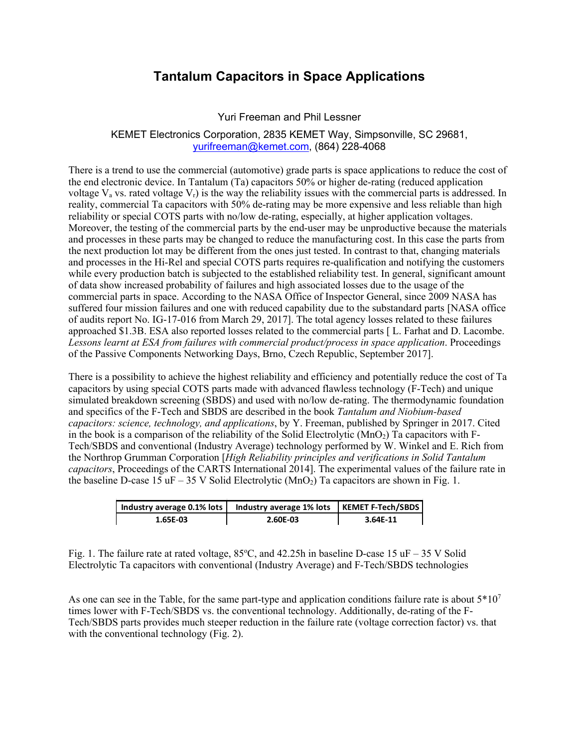# **Tantalum Capacitors in Space Applications**

### Yuri Freeman and Phil Lessner

#### KEMET Electronics Corporation, 2835 KEMET Way, Simpsonville, SC 29681, yurifreeman@kemet.com, (864) 228-4068

There is a trend to use the commercial (automotive) grade parts is space applications to reduce the cost of the end electronic device. In Tantalum (Ta) capacitors 50% or higher de-rating (reduced application voltage  $V_a$  vs. rated voltage  $V_r$ ) is the way the reliability issues with the commercial parts is addressed. In reality, commercial Ta capacitors with 50% de-rating may be more expensive and less reliable than high reliability or special COTS parts with no/low de-rating, especially, at higher application voltages. Moreover, the testing of the commercial parts by the end-user may be unproductive because the materials and processes in these parts may be changed to reduce the manufacturing cost. In this case the parts from the next production lot may be different from the ones just tested. In contrast to that, changing materials and processes in the Hi-Rel and special COTS parts requires re-qualification and notifying the customers while every production batch is subjected to the established reliability test. In general, significant amount of data show increased probability of failures and high associated losses due to the usage of the commercial parts in space. According to the NASA Office of Inspector General, since 2009 NASA has suffered four mission failures and one with reduced capability due to the substandard parts [NASA office of audits report No. IG-17-016 from March 29, 2017]. The total agency losses related to these failures approached \$1.3B. ESA also reported losses related to the commercial parts [ L. Farhat and D. Lacombe. *Lessons learnt at ESA from failures with commercial product/process in space application*. Proceedings of the Passive Components Networking Days, Brno, Czech Republic, September 2017].

There is a possibility to achieve the highest reliability and efficiency and potentially reduce the cost of Ta capacitors by using special COTS parts made with advanced flawless technology (F-Tech) and unique simulated breakdown screening (SBDS) and used with no/low de-rating. The thermodynamic foundation and specifics of the F-Tech and SBDS are described in the book *Tantalum and Niobium-based capacitors: science, technology, and applications*, by Y. Freeman, published by Springer in 2017. Cited in the book is a comparison of the reliability of the Solid Electrolytic  $(MnO<sub>2</sub>)$  Ta capacitors with F-Tech/SBDS and conventional (Industry Average) technology performed by W. Winkel and E. Rich from the Northrop Grumman Corporation [*High Reliability principles and verifications in Solid Tantalum capacitors*, Proceedings of the CARTS International 2014]. The experimental values of the failure rate in the baseline D-case 15 uF – 35 V Solid Electrolytic ( $MnO<sub>2</sub>$ ) Ta capacitors are shown in Fig. 1.

| Industry average 0.1% lots | Industry average 1% lots | KEMET F-Tech/SBDS |
|----------------------------|--------------------------|-------------------|
| 1.65E-03                   | 2.60E-03                 | 3.64E-11          |

Fig. 1. The failure rate at rated voltage,  $85^{\circ}$ C, and  $42.25$ h in baseline D-case 15 uF - 35 V Solid Electrolytic Ta capacitors with conventional (Industry Average) and F-Tech/SBDS technologies

As one can see in the Table, for the same part-type and application conditions failure rate is about  $5*10^7$ times lower with F-Tech/SBDS vs. the conventional technology. Additionally, de-rating of the F-Tech/SBDS parts provides much steeper reduction in the failure rate (voltage correction factor) vs. that with the conventional technology (Fig. 2).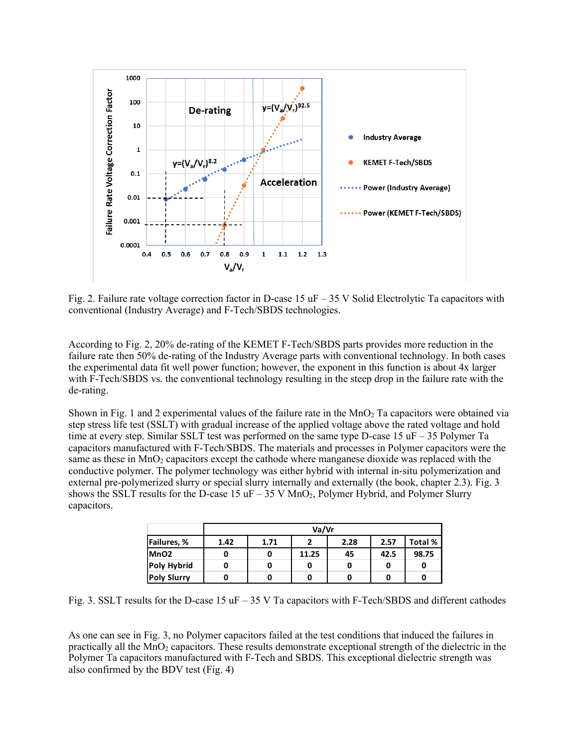

Fig. 2. Failure rate voltage correction factor in D-case 15  $\mu$ F – 35 V Solid Electrolytic Ta capacitors with conventional (Industry Average) and F-Tech/SBDS technologies.

According to Fig. 2, 20% de-rating of the KEMET F-Tech/SBDS parts provides more reduction in the failure rate then 50% de-rating of the Industry Average parts with conventional technology. In both cases the experimental data fit well power function; however, the exponent in this function is about 4x larger with F-Tech/SBDS vs. the conventional technology resulting in the steep drop in the failure rate with the de-rating.

Shown in Fig. 1 and 2 experimental values of the failure rate in the  $MnO<sub>2</sub>$  Ta capacitors were obtained via step stress life test (SSLT) with gradual increase of the applied voltage above the rated voltage and hold time at every step. Similar SSLT test was performed on the same type D-case 15 uF – 35 Polymer Ta capacitors manufactured with F-Tech/SBDS. The materials and processes in Polymer capacitors were the same as these in MnO<sub>2</sub> capacitors except the cathode where manganese dioxide was replaced with the conductive polymer. The polymer technology was either hybrid with internal in-situ polymerization and external pre-polymerized slurry or special slurry internally and externally (the book, chapter 2.3). Fig. 3 shows the SSLT results for the D-case 15  $\text{uF} - 35 \text{ V } \text{MnO}_2$ , Polymer Hybrid, and Polymer Slurry capacitors.

|                    | Va/Vr |      |       |      |      |         |
|--------------------|-------|------|-------|------|------|---------|
| Failures, %        | 1.42  | 1.71 |       | 2.28 | 2.57 | Total % |
| MnO <sub>2</sub>   | 0     |      | 11.25 | 45   | 42.5 | 98.75   |
| <b>Poly Hybrid</b> | 0     |      |       |      |      | 0       |
| <b>Poly Slurry</b> | 0     |      |       |      |      | 0       |

Fig. 3. SSLT results for the D-case 15  $\text{uF} - 35 \text{ V}$  Ta capacitors with F-Tech/SBDS and different cathodes

As one can see in Fig. 3, no Polymer capacitors failed at the test conditions that induced the failures in practically all the MnO2 capacitors. These results demonstrate exceptional strength of the dielectric in the Polymer Ta capacitors manufactured with F-Tech and SBDS. This exceptional dielectric strength was also confirmed by the BDV test (Fig. 4)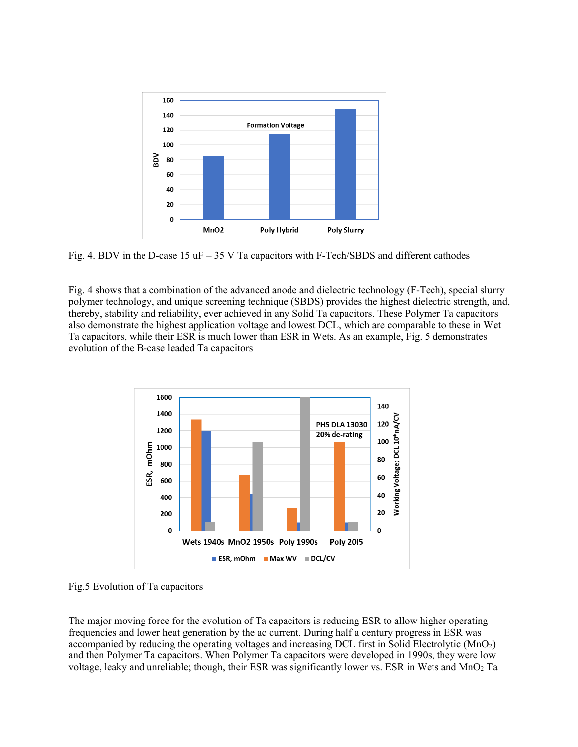

Fig. 4. BDV in the D-case 15  $\text{uF} - 35 \text{ V}$  Ta capacitors with F-Tech/SBDS and different cathodes

Fig. 4 shows that a combination of the advanced anode and dielectric technology (F-Tech), special slurry polymer technology, and unique screening technique (SBDS) provides the highest dielectric strength, and, thereby, stability and reliability, ever achieved in any Solid Ta capacitors. These Polymer Ta capacitors also demonstrate the highest application voltage and lowest DCL, which are comparable to these in Wet Ta capacitors, while their ESR is much lower than ESR in Wets. As an example, Fig. 5 demonstrates evolution of the B-case leaded Ta capacitors



Fig.5 Evolution of Ta capacitors

The major moving force for the evolution of Ta capacitors is reducing ESR to allow higher operating frequencies and lower heat generation by the ac current. During half a century progress in ESR was accompanied by reducing the operating voltages and increasing DCL first in Solid Electrolytic (MnO2) and then Polymer Ta capacitors. When Polymer Ta capacitors were developed in 1990s, they were low voltage, leaky and unreliable; though, their ESR was significantly lower vs. ESR in Wets and  $MnO<sub>2</sub>$  Ta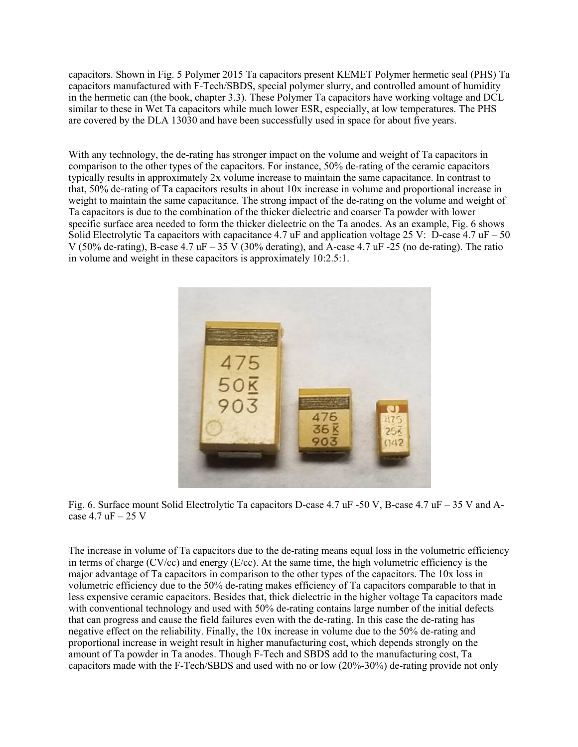capacitors. Shown in Fig. 5 Polymer 2015 Ta capacitors present KEMET Polymer hermetic seal (PHS) Ta capacitors manufactured with F-Tech/SBDS, special polymer slurry, and controlled amount of humidity in the hermetic can (the book, chapter 3.3). These Polymer Ta capacitors have working voltage and DCL similar to these in Wet Ta capacitors while much lower ESR, especially, at low temperatures. The PHS are covered by the DLA 13030 and have been successfully used in space for about five years.

With any technology, the de-rating has stronger impact on the volume and weight of Ta capacitors in comparison to the other types of the capacitors. For instance, 50% de-rating of the ceramic capacitors typically results in approximately 2x volume increase to maintain the same capacitance. In contrast to that, 50% de-rating of Ta capacitors results in about 10x increase in volume and proportional increase in weight to maintain the same capacitance. The strong impact of the de-rating on the volume and weight of Ta capacitors is due to the combination of the thicker dielectric and coarser Ta powder with lower specific surface area needed to form the thicker dielectric on the Ta anodes. As an example, Fig. 6 shows Solid Electrolytic Ta capacitors with capacitance 4.7 uF and application voltage 25 V: D-case 4.7 uF – 50 V (50% de-rating), B-case 4.7 uF – 35 V (30% derating), and A-case 4.7 uF -25 (no de-rating). The ratio in volume and weight in these capacitors is approximately 10:2.5:1.



Fig. 6. Surface mount Solid Electrolytic Ta capacitors D-case 4.7 uF -50 V, B-case 4.7 uF – 35 V and Acase  $4.7$  uF  $-25$  V

The increase in volume of Ta capacitors due to the de-rating means equal loss in the volumetric efficiency in terms of charge (CV/cc) and energy ( $E$ /cc). At the same time, the high volumetric efficiency is the major advantage of Ta capacitors in comparison to the other types of the capacitors. The 10x loss in volumetric efficiency due to the 50% de-rating makes efficiency of Ta capacitors comparable to that in less expensive ceramic capacitors. Besides that, thick dielectric in the higher voltage Ta capacitors made with conventional technology and used with 50% de-rating contains large number of the initial defects that can progress and cause the field failures even with the de-rating. In this case the de-rating has negative effect on the reliability. Finally, the 10x increase in volume due to the 50% de-rating and proportional increase in weight result in higher manufacturing cost, which depends strongly on the amount of Ta powder in Ta anodes. Though F-Tech and SBDS add to the manufacturing cost, Ta capacitors made with the F-Tech/SBDS and used with no or low (20%-30%) de-rating provide not only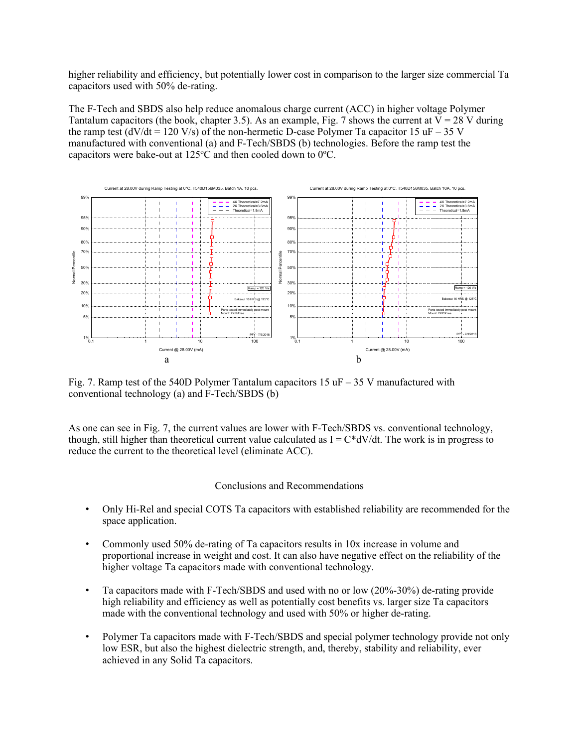higher reliability and efficiency, but potentially lower cost in comparison to the larger size commercial Ta capacitors used with 50% de-rating.

The F-Tech and SBDS also help reduce anomalous charge current (ACC) in higher voltage Polymer Tantalum capacitors (the book, chapter 3.5). As an example, Fig. 7 shows the current at  $V = 28$  V during the ramp test (dV/dt = 120 V/s) of the non-hermetic D-case Polymer Ta capacitor 15 uF – 35 V manufactured with conventional (a) and F-Tech/SBDS (b) technologies. Before the ramp test the capacitors were bake-out at  $125^{\circ}$ C and then cooled down to 0 $^{\circ}$ C.



Fig. 7. Ramp test of the 540D Polymer Tantalum capacitors 15  $\mu$ F – 35 V manufactured with conventional technology (a) and F-Tech/SBDS (b)

As one can see in Fig. 7, the current values are lower with F-Tech/SBDS vs. conventional technology, though, still higher than theoretical current value calculated as  $I = C^*dV/dt$ . The work is in progress to reduce the current to the theoretical level (eliminate ACC).

#### Conclusions and Recommendations

- Only Hi-Rel and special COTS Ta capacitors with established reliability are recommended for the space application.
- Commonly used 50% de-rating of Ta capacitors results in 10x increase in volume and proportional increase in weight and cost. It can also have negative effect on the reliability of the higher voltage Ta capacitors made with conventional technology.
- Ta capacitors made with F-Tech/SBDS and used with no or low (20%-30%) de-rating provide high reliability and efficiency as well as potentially cost benefits vs. larger size Ta capacitors made with the conventional technology and used with 50% or higher de-rating.
- Polymer Ta capacitors made with F-Tech/SBDS and special polymer technology provide not only low ESR, but also the highest dielectric strength, and, thereby, stability and reliability, ever achieved in any Solid Ta capacitors.